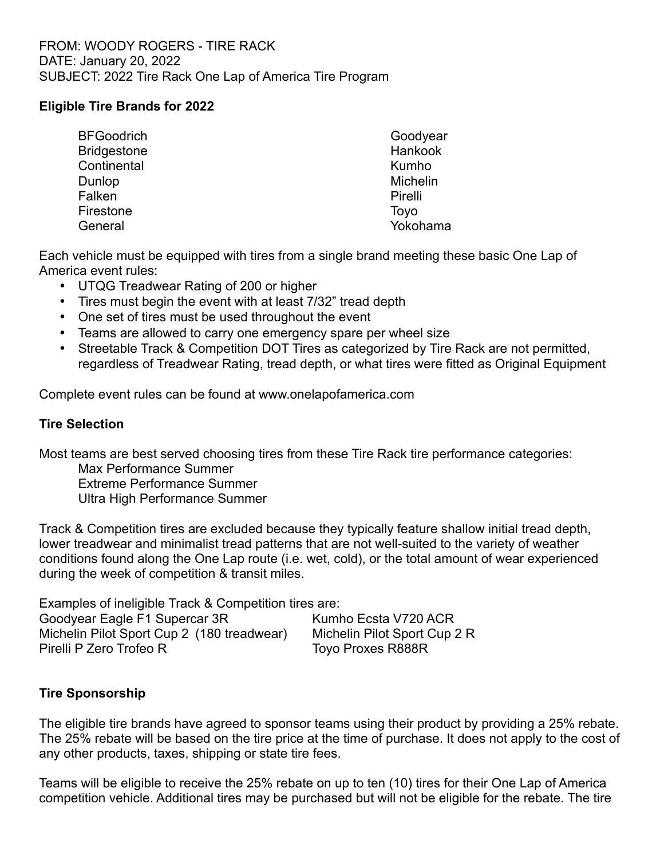## **Eligible Tire Brands for 2022**

| <b>BFGoodrich</b>  | Goodyear |
|--------------------|----------|
| <b>Bridgestone</b> | Hankook  |
| Continental        | Kumho    |
| Dunlop             | Michelin |
| Falken             | Pirelli  |
| Firestone          | Toyo     |
| General            | Yokohama |

Each vehicle must be equipped with tires from a single brand meeting these basic One Lap of America event rules:

- UTQG Treadwear Rating of 200 or higher
- Tires must begin the event with at least 7/32" tread depth
- One set of tires must be used throughout the event
- Teams are allowed to carry one emergency spare per wheel size
- Streetable Track & Competition DOT Tires as categorized by Tire Rack are not permitted, regardless of Treadwear Rating, tread depth, or what tires were fitted as Original Equipment

Complete event rules can be found at www.onelapofamerica.com

## **Tire Selection**

Most teams are best served choosing tires from these Tire Rack tire performance categories:

Max Performance Summer Extreme Performance Summer

Ultra High Performance Summer

Track & Competition tires are excluded because they typically feature shallow initial tread depth, lower treadwear and minimalist tread patterns that are not well-suited to the variety of weather conditions found along the One Lap route (i.e. wet, cold), or the total amount of wear experienced during the week of competition & transit miles.

Examples of ineligible Track & Competition tires are: Goodyear Eagle F1 Supercar 3R Kumho Ecsta V720 ACR

Michelin Pilot Sport Cup 2 (180 treadwear) Michelin Pilot Sport Cup 2 R Pirelli P Zero Trofeo R Toyo Proxes R888R

## **Tire Sponsorship**

The eligible tire brands have agreed to sponsor teams using their product by providing a 25% rebate. The 25% rebate will be based on the tire price at the time of purchase. It does not apply to the cost of any other products, taxes, shipping or state tire fees.

Teams will be eligible to receive the 25% rebate on up to ten (10) tires for their One Lap of America competition vehicle. Additional tires may be purchased but will not be eligible for the rebate. The tire